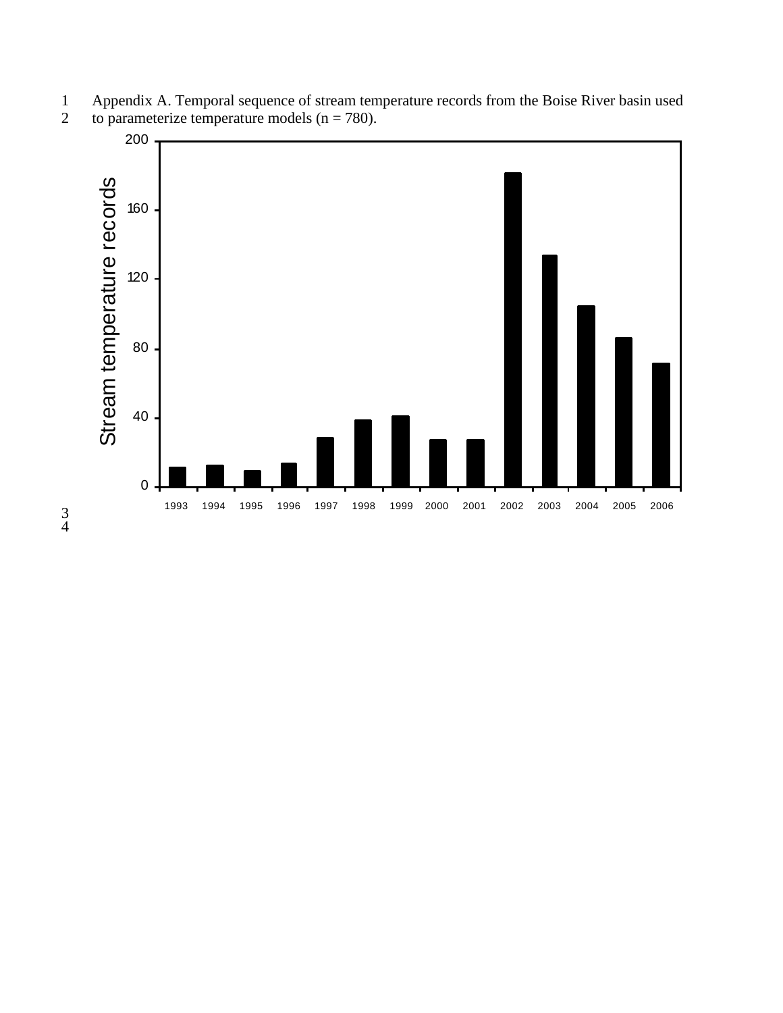

1 Appendix A. Temporal sequence of stream temperature records from the Boise River basin used<br>2 to parameterize temperature models  $(n = 780)$ . to parameterize temperature models ( $n = 780$ ).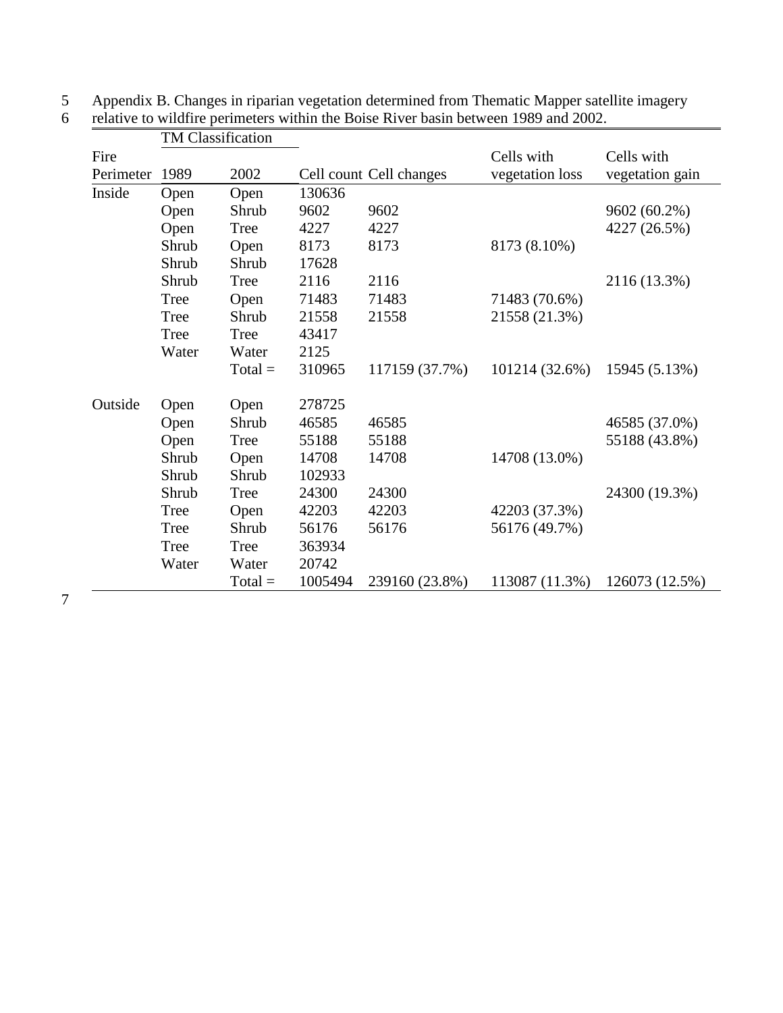|           | <b>TM Classification</b> |             |         |                         |                 |                 |
|-----------|--------------------------|-------------|---------|-------------------------|-----------------|-----------------|
| Fire      |                          |             |         |                         | Cells with      | Cells with      |
| Perimeter | 1989                     | 2002        |         | Cell count Cell changes | vegetation loss | vegetation gain |
| Inside    | Open                     | Open        | 130636  |                         |                 |                 |
|           | Open                     | Shrub       | 9602    | 9602                    |                 | 9602 (60.2%)    |
|           | Open                     | Tree        | 4227    | 4227                    |                 | 4227 (26.5%)    |
|           | Shrub                    | Open        | 8173    | 8173                    | 8173 (8.10%)    |                 |
|           | Shrub                    | Shrub       | 17628   |                         |                 |                 |
|           | Shrub                    | <b>Tree</b> | 2116    | 2116                    |                 | 2116 (13.3%)    |
|           | Tree                     | Open        | 71483   | 71483                   | 71483 (70.6%)   |                 |
|           | Tree                     | Shrub       | 21558   | 21558                   | 21558 (21.3%)   |                 |
|           | Tree                     | Tree        | 43417   |                         |                 |                 |
|           | Water                    | Water       | 2125    |                         |                 |                 |
|           |                          | $Total =$   | 310965  | 117159 (37.7%)          | 101214 (32.6%)  | 15945 (5.13%)   |
| Outside   | Open                     | Open        | 278725  |                         |                 |                 |
|           | Open                     | Shrub       | 46585   | 46585                   |                 | 46585 (37.0%)   |
|           | Open                     | Tree        | 55188   | 55188                   |                 | 55188 (43.8%)   |
|           | Shrub                    | Open        | 14708   | 14708                   | 14708 (13.0%)   |                 |
|           | Shrub                    | Shrub       | 102933  |                         |                 |                 |
|           | Shrub                    | <b>Tree</b> | 24300   | 24300                   |                 | 24300 (19.3%)   |
|           | Tree                     | Open        | 42203   | 42203                   | 42203 (37.3%)   |                 |
|           | Tree                     | Shrub       | 56176   | 56176                   | 56176 (49.7%)   |                 |
|           | Tree                     | Tree        | 363934  |                         |                 |                 |
|           | Water                    | Water       | 20742   |                         |                 |                 |
|           |                          | $Total =$   | 1005494 | 239160 (23.8%)          | 113087 (11.3%)  | 126073 (12.5%)  |

5 Appendix B. Changes in riparian vegetation determined from Thematic Mapper satellite imagery<br>6 relative to wildfire perimeters within the Boise River basin between 1989 and 2002.

relative to wildfire perimeters within the Boise River basin between 1989 and 2002.

7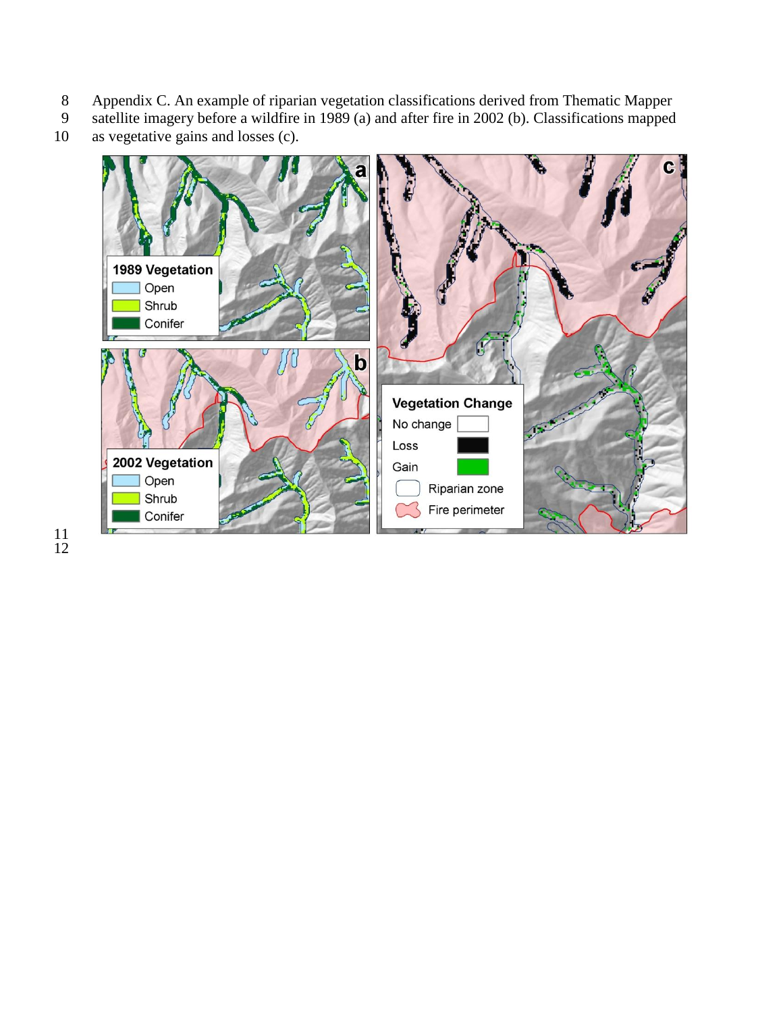- 8 Appendix C. An example of riparian vegetation classifications derived from Thematic Mapper satellite imagery before a wildfire in 1989 (a) and after fire in 2002 (b). Classifications mapped
- 9 satellite imagery before a wildfire in 1989 (a) and after fire in 2002 (b). Classifications mapped as vegetative gains and losses (c). as vegetative gains and losses  $(c)$ .
	- C 1989 Vegetation Open Shrub Conifer  $\mathbf b$ **Vegetation Change** No change  $\sqrt{2}$ Loss 2002 Vegetation Gain Open Riparian zone Shrub Fire perimeter Conifer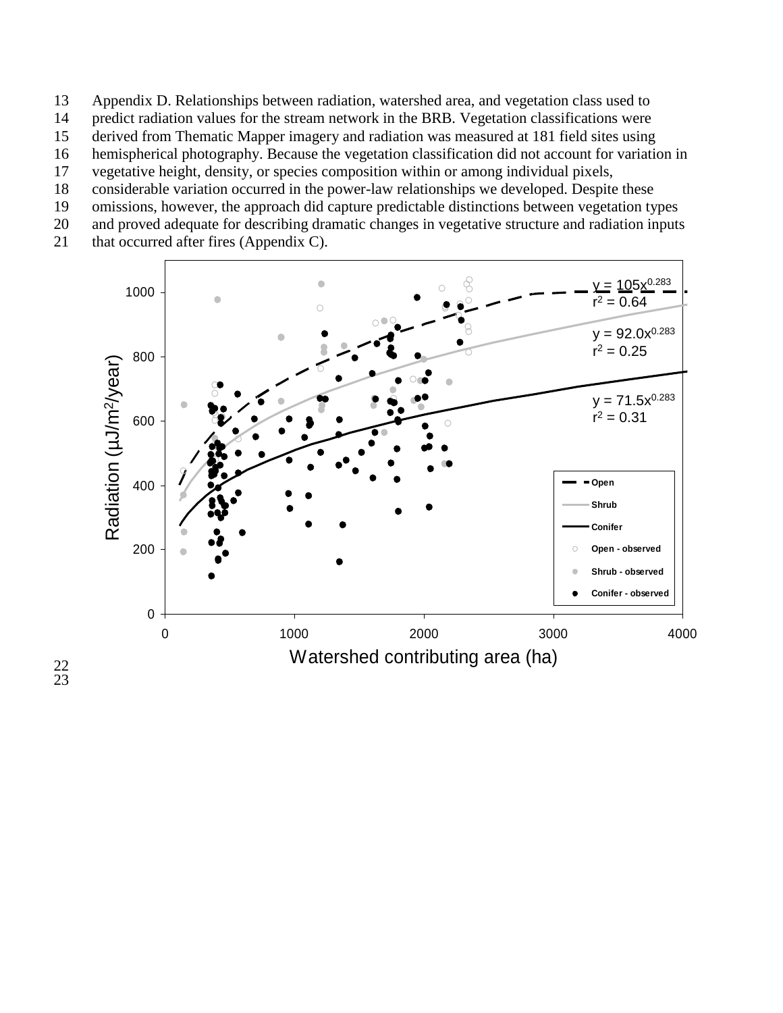- 13 Appendix D. Relationships between radiation, watershed area, and vegetation class used to
- 14 predict radiation values for the stream network in the BRB. Vegetation classifications were
- 15 derived from Thematic Mapper imagery and radiation was measured at 181 field sites using
- 16 hemispherical photography. Because the vegetation classification did not account for variation in
- 17 vegetative height, density, or species composition within or among individual pixels,
- 18 considerable variation occurred in the power-law relationships we developed. Despite these
- 19 omissions, however, the approach did capture predictable distinctions between vegetation types
- 20 and proved adequate for describing dramatic changes in vegetative structure and radiation inputs
- 21 that occurred after fires (Appendix C).



22 23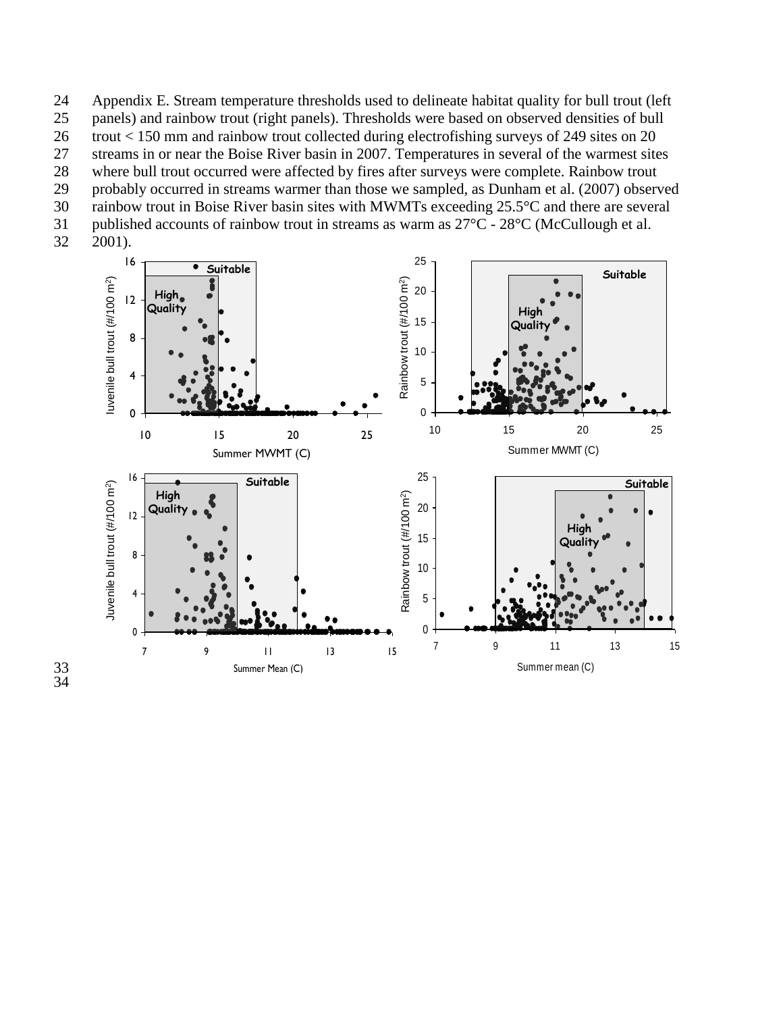Appendix E. Stream temperature thresholds used to delineate habitat quality for bull trout (left panels) and rainbow trout (right panels). Thresholds were based on observed densities of bull trout < 150 mm and rainbow trout collected during electrofishing surveys of 249 sites on 20 streams in or near the Boise River basin in 2007. Temperatures in several of the warmest sites where bull trout occurred were affected by fires after surveys were complete. Rainbow trout probably occurred in streams warmer than those we sampled, as Dunham et al. (2007) observed rainbow trout in Boise River basin sites with MWMTs exceeding 25.5°C and there are several published accounts of rainbow trout in streams as warm as 27°C - 28°C (McCullough et al.

2001).

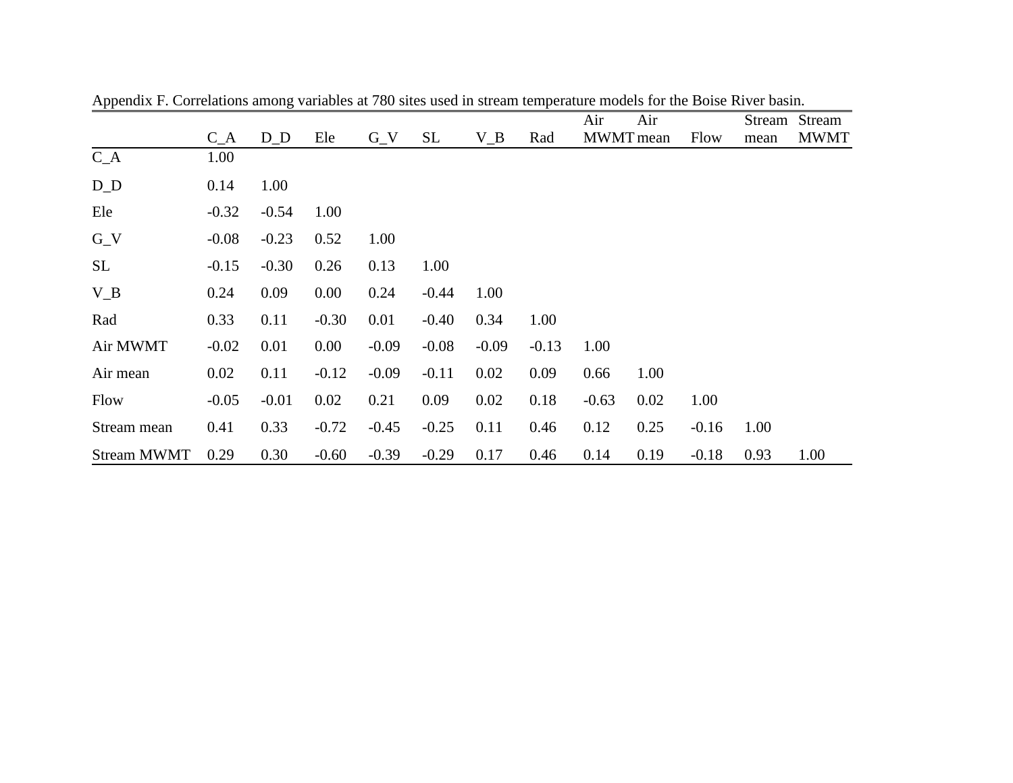|                    |         |         |         |         |           |         |         | Air     | Air       |         |      | Stream Stream |
|--------------------|---------|---------|---------|---------|-----------|---------|---------|---------|-----------|---------|------|---------------|
|                    | $C_A$   | $D_D$   | Ele     | $G_{V}$ | <b>SL</b> | $V_B$   | Rad     |         | MWMT mean | Flow    | mean | <b>MWMT</b>   |
| $C_A$              | 1.00    |         |         |         |           |         |         |         |           |         |      |               |
| $D_D$              | 0.14    | 1.00    |         |         |           |         |         |         |           |         |      |               |
| Ele                | $-0.32$ | $-0.54$ | 1.00    |         |           |         |         |         |           |         |      |               |
| $G_{V}$            | $-0.08$ | $-0.23$ | 0.52    | 1.00    |           |         |         |         |           |         |      |               |
| <b>SL</b>          | $-0.15$ | $-0.30$ | 0.26    | 0.13    | 1.00      |         |         |         |           |         |      |               |
| $V_B$              | 0.24    | 0.09    | 0.00    | 0.24    | $-0.44$   | 1.00    |         |         |           |         |      |               |
| Rad                | 0.33    | 0.11    | $-0.30$ | 0.01    | $-0.40$   | 0.34    | 1.00    |         |           |         |      |               |
| Air MWMT           | $-0.02$ | 0.01    | 0.00    | $-0.09$ | $-0.08$   | $-0.09$ | $-0.13$ | 1.00    |           |         |      |               |
| Air mean           | 0.02    | 0.11    | $-0.12$ | $-0.09$ | $-0.11$   | 0.02    | 0.09    | 0.66    | 1.00      |         |      |               |
| Flow               | $-0.05$ | $-0.01$ | 0.02    | 0.21    | 0.09      | 0.02    | 0.18    | $-0.63$ | 0.02      | 1.00    |      |               |
| Stream mean        | 0.41    | 0.33    | $-0.72$ | $-0.45$ | $-0.25$   | 0.11    | 0.46    | 0.12    | 0.25      | $-0.16$ | 1.00 |               |
| <b>Stream MWMT</b> | 0.29    | 0.30    | $-0.60$ | $-0.39$ | $-0.29$   | 0.17    | 0.46    | 0.14    | 0.19      | $-0.18$ | 0.93 | 1.00          |

Appendix F. Correlations among variables at 780 sites used in stream temperature models for the Boise River basin.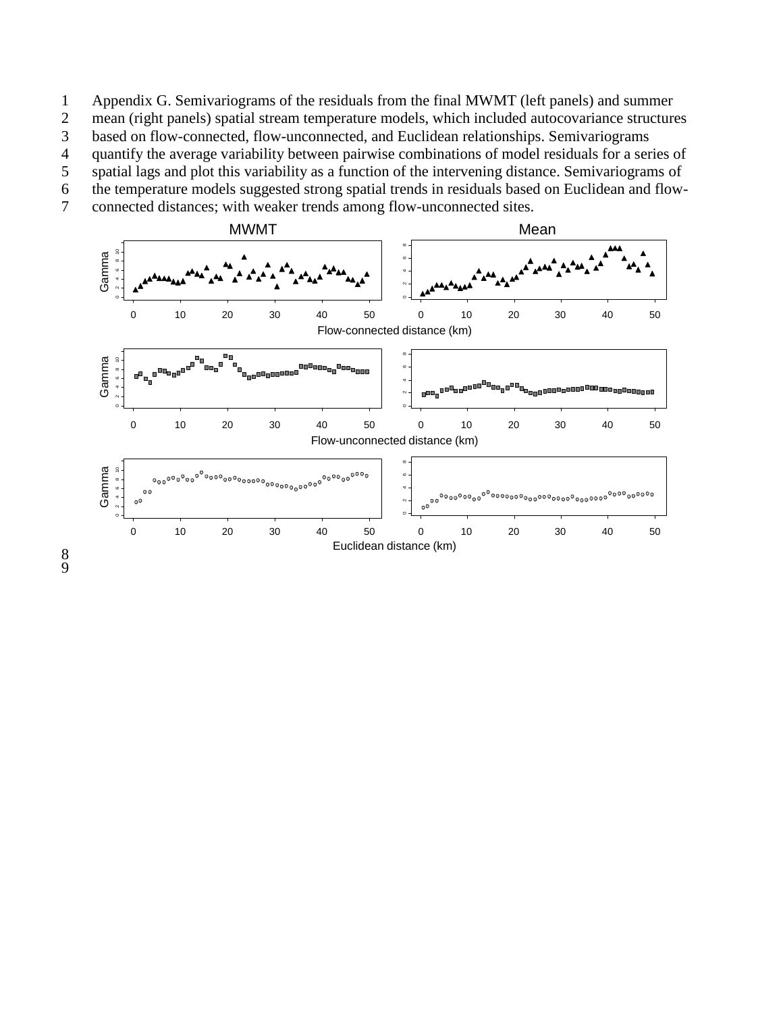1 Appendix G. Semivariograms of the residuals from the final MWMT (left panels) and summer 2 mean (right panels) spatial stream temperature models, which included autocovariance structures

3 based on flow-connected, flow-unconnected, and Euclidean relationships. Semivariograms

4 quantify the average variability between pairwise combinations of model residuals for a series of spatial lags and plot this variability as a function of the intervening distance. Semivariograms of 5 spatial lags and plot this variability as a function of the intervening distance. Semivariograms of

6 the temperature models suggested strong spatial trends in residuals based on Euclidean and flow-

7 connected distances; with weaker trends among flow-unconnected sites.